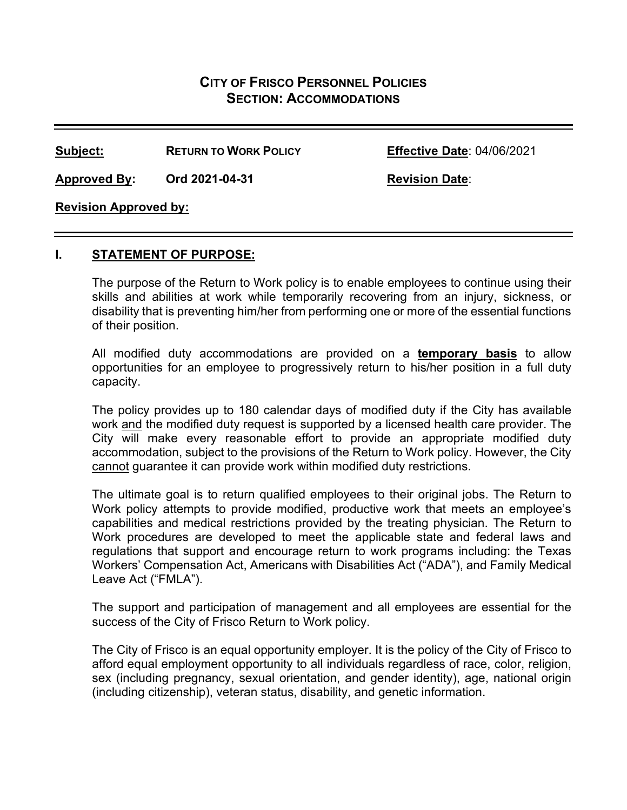# **CITY OF FRISCO PERSONNEL POLICIES SECTION: ACCOMMODATIONS**

**Subject: RETURN TO WORK POLICY Effective Date**: 04/06/2021

**Approved By:** Ord 2021-04-31 Revision Date:

**Revision Approved by:**

## **I. STATEMENT OF PURPOSE:**

The purpose of the Return to Work policy is to enable employees to continue using their skills and abilities at work while temporarily recovering from an injury, sickness, or disability that is preventing him/her from performing one or more of the essential functions of their position.

All modified duty accommodations are provided on a **temporary basis** to allow opportunities for an employee to progressively return to his/her position in a full duty capacity.

The policy provides up to 180 calendar days of modified duty if the City has available work and the modified duty request is supported by a licensed health care provider. The City will make every reasonable effort to provide an appropriate modified duty accommodation, subject to the provisions of the Return to Work policy. However, the City cannot guarantee it can provide work within modified duty restrictions.

The ultimate goal is to return qualified employees to their original jobs. The Return to Work policy attempts to provide modified, productive work that meets an employee's capabilities and medical restrictions provided by the treating physician. The Return to Work procedures are developed to meet the applicable state and federal laws and regulations that support and encourage return to work programs including: the Texas Workers' Compensation Act, Americans with Disabilities Act ("ADA"), and Family Medical Leave Act ("FMLA").

The support and participation of management and all employees are essential for the success of the City of Frisco Return to Work policy.

The City of Frisco is an equal opportunity employer. It is the policy of the City of Frisco to afford equal employment opportunity to all individuals regardless of race, color, religion, sex (including pregnancy, sexual orientation, and gender identity), age, national origin (including citizenship), veteran status, disability, and genetic information.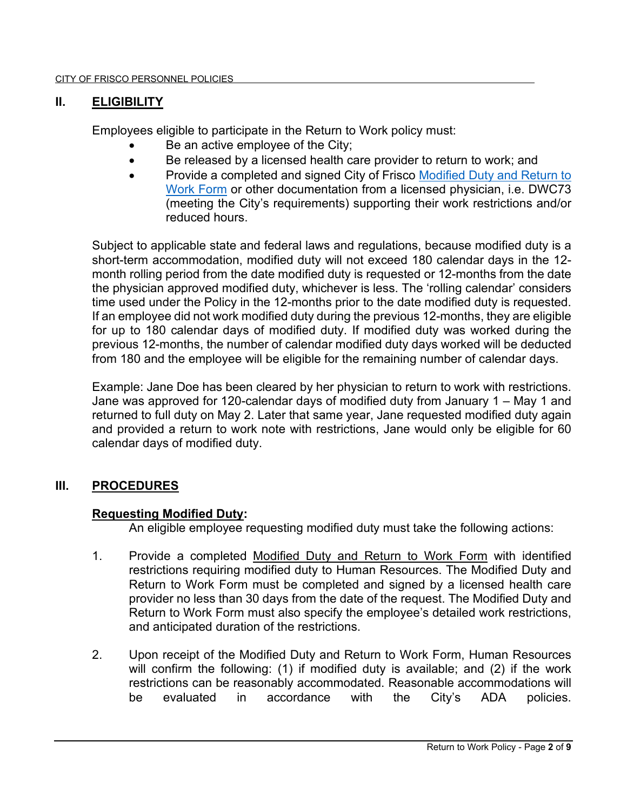# **II. ELIGIBILITY**

Employees eligible to participate in the Return to Work policy must:

- Be an active employee of the City;
- Be released by a licensed health care provider to return to work; and
- Provide a completed and signed City of Frisco [Modified Duty and Return to](https://www.friscotexas.gov/DocumentCenter/View/15370/Modified-Duty-Request-Form)  [Work](https://www.friscotexas.gov/DocumentCenter/View/15370/Modified-Duty-Request-Form) Form or other documentation from a licensed physician, i.e. DWC73 (meeting the City's requirements) supporting their work restrictions and/or reduced hours.

Subject to applicable state and federal laws and regulations, because modified duty is a short-term accommodation, modified duty will not exceed 180 calendar days in the 12 month rolling period from the date modified duty is requested or 12-months from the date the physician approved modified duty, whichever is less. The 'rolling calendar' considers time used under the Policy in the 12-months prior to the date modified duty is requested. If an employee did not work modified duty during the previous 12-months, they are eligible for up to 180 calendar days of modified duty. If modified duty was worked during the previous 12-months, the number of calendar modified duty days worked will be deducted from 180 and the employee will be eligible for the remaining number of calendar days.

Example: Jane Doe has been cleared by her physician to return to work with restrictions. Jane was approved for 120-calendar days of modified duty from January 1 – May 1 and returned to full duty on May 2. Later that same year, Jane requested modified duty again and provided a return to work note with restrictions, Jane would only be eligible for 60 calendar days of modified duty.

# **III. PROCEDURES**

#### **Requesting Modified Duty:**

An eligible employee requesting modified duty must take the following actions:

- 1. Provide a completed [Modified Duty and Return to Work](https://www.friscotexas.gov/DocumentCenter/View/15370/Modified-Duty-Request-Form) Form with identified restrictions requiring modified duty to Human Resources. The Modified Duty and Return to Work Form must be completed and signed by a licensed health care provider no less than 30 days from the date of the request. The Modified Duty and Return to Work Form must also specify the employee's detailed work restrictions, and anticipated duration of the restrictions.
- 2. Upon receipt of the Modified Duty and Return to Work Form, Human Resources will confirm the following: (1) if modified duty is available; and (2) if the work restrictions can be reasonably accommodated. Reasonable accommodations will be evaluated in accordance with the City's ADA policies.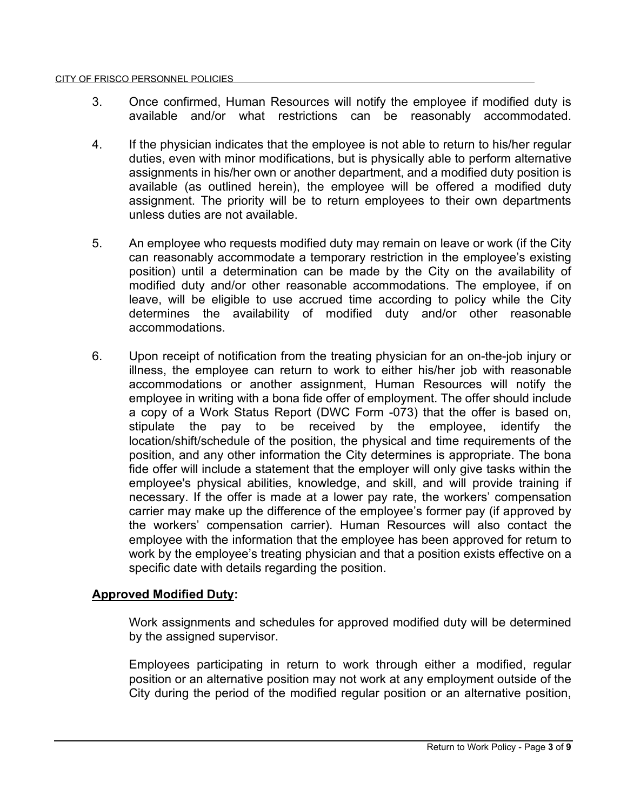#### CITY OF FRISCO PERSONNEL POLICIES

- 3. Once confirmed, Human Resources will notify the employee if modified duty is available and/or what restrictions can be reasonably accommodated.
- 4. If the physician indicates that the employee is not able to return to his/her regular duties, even with minor modifications, but is physically able to perform alternative assignments in his/her own or another department, and a modified duty position is available (as outlined herein), the employee will be offered a modified duty assignment. The priority will be to return employees to their own departments unless duties are not available.
- 5. An employee who requests modified duty may remain on leave or work (if the City can reasonably accommodate a temporary restriction in the employee's existing position) until a determination can be made by the City on the availability of modified duty and/or other reasonable accommodations. The employee, if on leave, will be eligible to use accrued time according to policy while the City determines the availability of modified duty and/or other reasonable accommodations.
- 6. Upon receipt of notification from the treating physician for an on-the-job injury or illness, the employee can return to work to either his/her job with reasonable accommodations or another assignment, Human Resources will notify the employee in writing with a bona fide offer of employment. The offer should include a copy of a Work Status Report (DWC Form -073) that the offer is based on, stipulate the pay to be received by the employee, identify the location/shift/schedule of the position, the physical and time requirements of the position, and any other information the City determines is appropriate. The bona fide offer will include a statement that the employer will only give tasks within the employee's physical abilities, knowledge, and skill, and will provide training if necessary. If the offer is made at a lower pay rate, the workers' compensation carrier may make up the difference of the employee's former pay (if approved by the workers' compensation carrier). Human Resources will also contact the employee with the information that the employee has been approved for return to work by the employee's treating physician and that a position exists effective on a specific date with details regarding the position.

#### **Approved Modified Duty:**

Work assignments and schedules for approved modified duty will be determined by the assigned supervisor.

Employees participating in return to work through either a modified, regular position or an alternative position may not work at any employment outside of the City during the period of the modified regular position or an alternative position,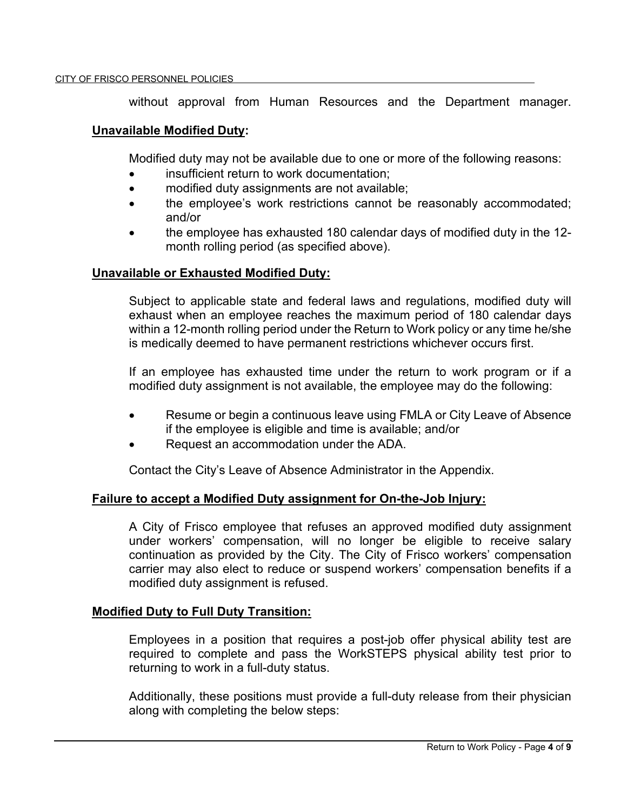without approval from Human Resources and the Department manager.

#### **Unavailable Modified Duty:**

Modified duty may not be available due to one or more of the following reasons:

- insufficient return to work documentation;
- modified duty assignments are not available;
- the employee's work restrictions cannot be reasonably accommodated; and/or
- the employee has exhausted 180 calendar days of modified duty in the 12 month rolling period (as specified above).

#### **Unavailable or Exhausted Modified Duty:**

Subject to applicable state and federal laws and regulations, modified duty will exhaust when an employee reaches the maximum period of 180 calendar days within a 12-month rolling period under the Return to Work policy or any time he/she is medically deemed to have permanent restrictions whichever occurs first.

If an employee has exhausted time under the return to work program or if a modified duty assignment is not available, the employee may do the following:

- Resume or begin a continuous leave using FMLA or City Leave of Absence if the employee is eligible and time is available; and/or
- Request an accommodation under the ADA.

Contact the City's Leave of Absence Administrator in the Appendix.

#### **Failure to accept a Modified Duty assignment for On-the-Job Injury:**

A City of Frisco employee that refuses an approved modified duty assignment under workers' compensation, will no longer be eligible to receive salary continuation as provided by the City. The City of Frisco workers' compensation carrier may also elect to reduce or suspend workers' compensation benefits if a modified duty assignment is refused.

#### **Modified Duty to Full Duty Transition:**

Employees in a position that requires a post-job offer physical ability test are required to complete and pass the WorkSTEPS physical ability test prior to returning to work in a full-duty status.

Additionally, these positions must provide a full-duty release from their physician along with completing the below steps: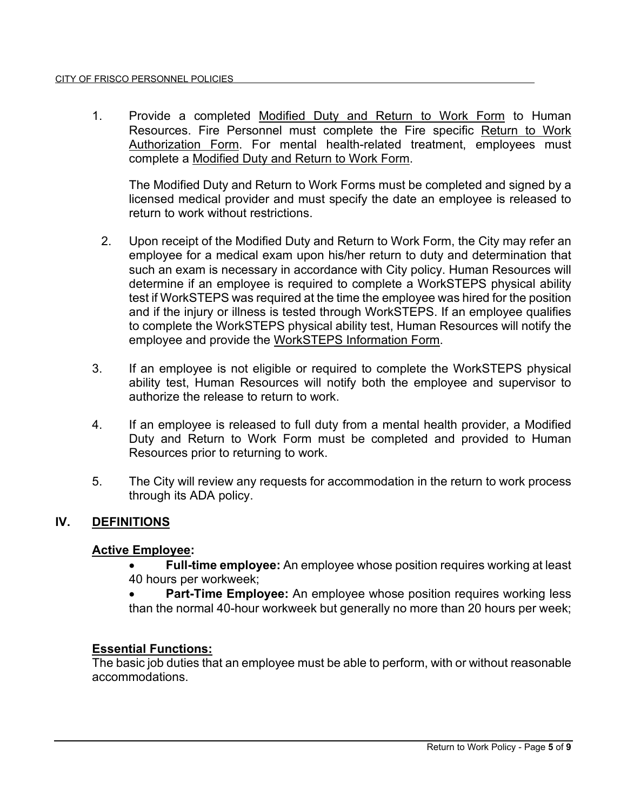#### CITY OF FRISCO PERSONNEL POLICIES

1. Provide a completed [Modified Duty and Return to Work](file://chstore/HR/Forms/Forms%20-NEW-/Health%20&%20Safety/Return%20to%20Work%20Form.pdf) Form to Human Resources. Fire Personnel must complete the Fire specific [Return to Work](file://chstore/HR/Forms/Forms%20-NEW-/Health%20&%20Safety/FD%20RTW%20Authorization%20122117.pdf)  [Authorization Form.](file://chstore/HR/Forms/Forms%20-NEW-/Health%20&%20Safety/FD%20RTW%20Authorization%20122117.pdf) For mental health-related treatment, employees must complete a [Modified Duty and Return to Work Form.](file://chstore/HR/Forms/Forms%20-NEW-/Health%20&%20Safety/RTW%20Fit%20for%20Duty%20Letter%20.pdf)

The Modified Duty and Return to Work Forms must be completed and signed by a licensed medical provider and must specify the date an employee is released to return to work without restrictions.

- 2. Upon receipt of the Modified Duty and Return to Work Form, the City may refer an employee for a medical exam upon his/her return to duty and determination that such an exam is necessary in accordance with City policy. Human Resources will determine if an employee is required to complete a WorkSTEPS physical ability test if WorkSTEPS was required at the time the employee was hired for the position and if the injury or illness is tested through WorkSTEPS. If an employee qualifies to complete the WorkSTEPS physical ability test, Human Resources will notify the employee and provide the [WorkSTEPS Information Form.](file://chstore/HR/Forms/Forms%20-NEW-/Health%20&%20Safety/Worksteps%20Physical%20Agility%20Test%20Info%20for%20RTW%20(1).pdf)
- 3. If an employee is not eligible or required to complete the WorkSTEPS physical ability test, Human Resources will notify both the employee and supervisor to authorize the release to return to work.
- 4. If an employee is released to full duty from a mental health provider, a Modified Duty and Return to Work Form must be completed and provided to Human Resources prior to returning to work.
- 5. The City will review any requests for accommodation in the return to work process through its ADA policy.

#### **IV. DEFINITIONS**

#### **Active Employee:**

- **Full-time employee:** An employee whose position requires working at least 40 hours per workweek;
- **Part-Time Employee:** An employee whose position requires working less than the normal 40-hour workweek but generally no more than 20 hours per week;

#### **Essential Functions:**

The basic job duties that an employee must be able to perform, with or without reasonable accommodations.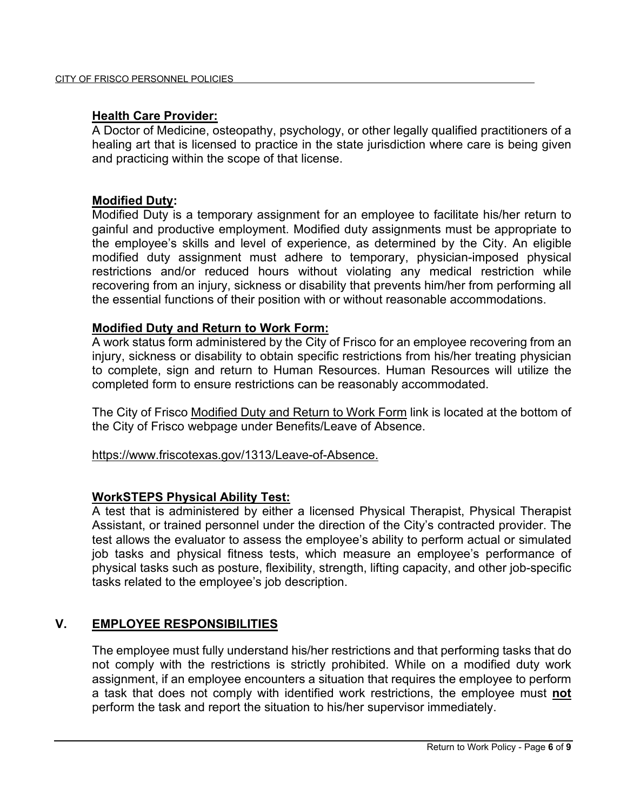#### **Health Care Provider:**

A Doctor of Medicine, osteopathy, psychology, or other legally qualified practitioners of a healing art that is licensed to practice in the state jurisdiction where care is being given and practicing within the scope of that license.

#### **Modified Duty:**

Modified Duty is a temporary assignment for an employee to facilitate his/her return to gainful and productive employment. Modified duty assignments must be appropriate to the employee's skills and level of experience, as determined by the City. An eligible modified duty assignment must adhere to temporary, physician-imposed physical restrictions and/or reduced hours without violating any medical restriction while recovering from an injury, sickness or disability that prevents him/her from performing all the essential functions of their position with or without reasonable accommodations.

#### **Modified Duty and Return to Work Form:**

A work status form administered by the City of Frisco for an employee recovering from an injury, sickness or disability to obtain specific restrictions from his/her treating physician to complete, sign and return to Human Resources. Human Resources will utilize the completed form to ensure restrictions can be reasonably accommodated.

The City of Frisco [Modified Duty and Return to Work Form](https://www.friscotexas.gov/DocumentCenter/View/15370/Modified-Duty-Request-Form) link is located at the bottom of the City of Frisco webpage under Benefits/Leave of Absence.

[https://www.friscotexas.gov/1313/Leave-of-Absence.](https://www.friscotexas.gov/1313/Leave-of-Absence)

#### **WorkSTEPS Physical Ability Test:**

A test that is administered by either a licensed Physical Therapist, Physical Therapist Assistant, or trained personnel under the direction of the City's contracted provider. The test allows the evaluator to assess the employee's ability to perform actual or simulated job tasks and physical fitness tests, which measure an employee's performance of physical tasks such as posture, flexibility, strength, lifting capacity, and other job-specific tasks related to the employee's job description.

# **V. EMPLOYEE RESPONSIBILITIES**

The employee must fully understand his/her restrictions and that performing tasks that do not comply with the restrictions is strictly prohibited. While on a modified duty work assignment, if an employee encounters a situation that requires the employee to perform a task that does not comply with identified work restrictions, the employee must **not** perform the task and report the situation to his/her supervisor immediately.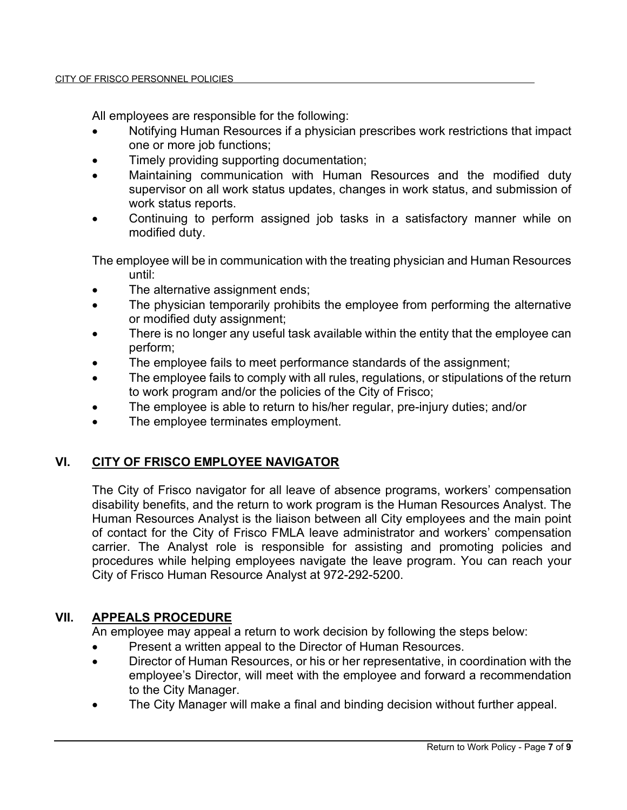All employees are responsible for the following:

- Notifying Human Resources if a physician prescribes work restrictions that impact one or more job functions;
- Timely providing supporting documentation;
- Maintaining communication with Human Resources and the modified duty supervisor on all work status updates, changes in work status, and submission of work status reports.
- Continuing to perform assigned job tasks in a satisfactory manner while on modified duty.

The employee will be in communication with the treating physician and Human Resources until:

- The alternative assignment ends;
- The physician temporarily prohibits the employee from performing the alternative or modified duty assignment;
- There is no longer any useful task available within the entity that the employee can perform;
- The employee fails to meet performance standards of the assignment;
- The employee fails to comply with all rules, regulations, or stipulations of the return to work program and/or the policies of the City of Frisco;
- The employee is able to return to his/her regular, pre-injury duties; and/or
- The employee terminates employment.

# **VI. CITY OF FRISCO EMPLOYEE NAVIGATOR**

The City of Frisco navigator for all leave of absence programs, workers' compensation disability benefits, and the return to work program is the Human Resources Analyst. The Human Resources Analyst is the liaison between all City employees and the main point of contact for the City of Frisco FMLA leave administrator and workers' compensation carrier. The Analyst role is responsible for assisting and promoting policies and procedures while helping employees navigate the leave program. You can reach your City of Frisco Human Resource Analyst at 972-292-5200.

# **VII. APPEALS PROCEDURE**

An employee may appeal a return to work decision by following the steps below:

- Present a written appeal to the Director of Human Resources.
- Director of Human Resources, or his or her representative, in coordination with the employee's Director, will meet with the employee and forward a recommendation to the City Manager.
- The City Manager will make a final and binding decision without further appeal.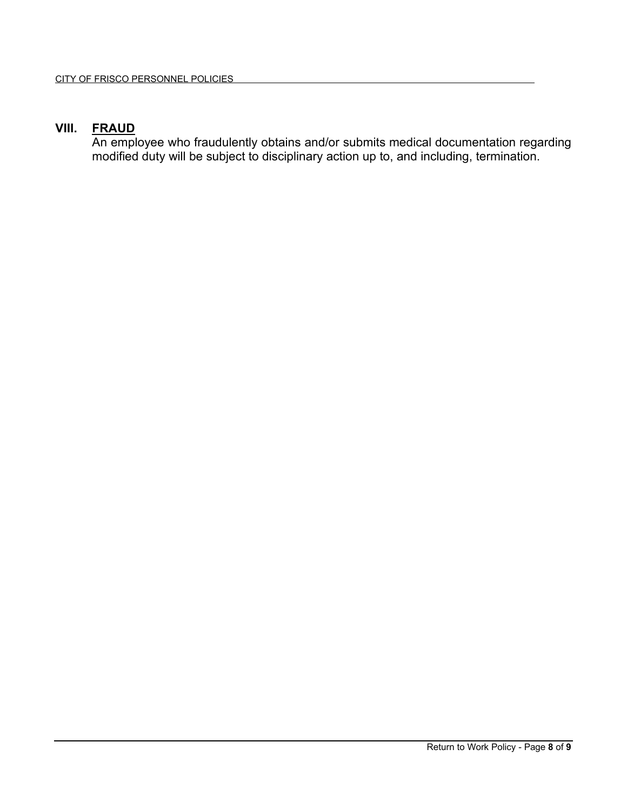## **VIII. FRAUD**

An employee who fraudulently obtains and/or submits medical documentation regarding modified duty will be subject to disciplinary action up to, and including, termination.